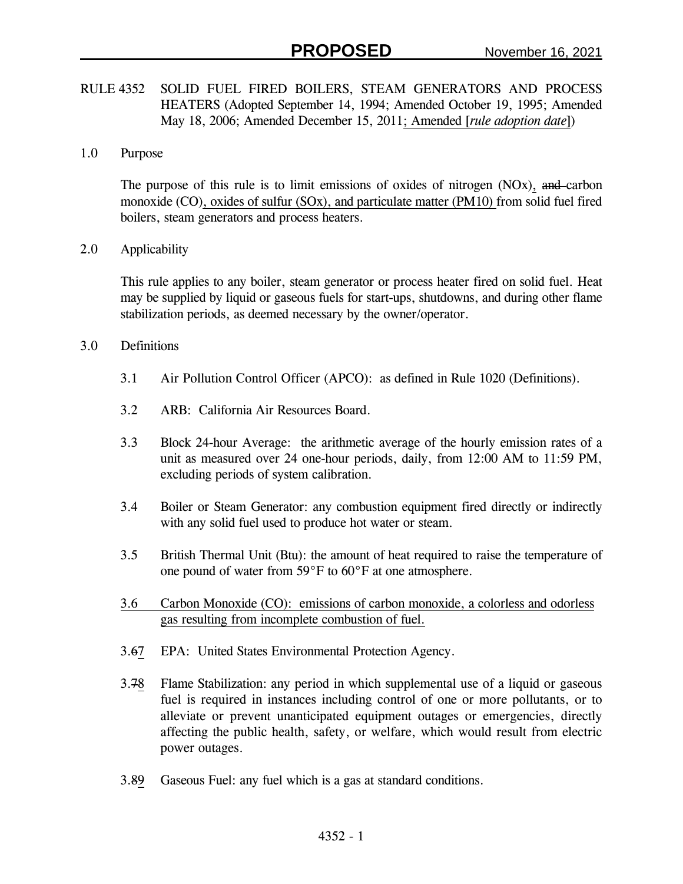- RULE 4352 SOLID FUEL FIRED BOILERS, STEAM GENERATORS AND PROCESS HEATERS (Adopted September 14, 1994; Amended October 19, 1995; Amended May 18, 2006; Amended December 15, 2011; Amended [*rule adoption date*])
- 1.0 Purpose

The purpose of this rule is to limit emissions of oxides of nitrogen (NOx), and carbon monoxide (CO), oxides of sulfur (SOx), and particulate matter (PM10) from solid fuel fired boilers, steam generators and process heaters.

2.0 Applicability

This rule applies to any boiler, steam generator or process heater fired on solid fuel. Heat may be supplied by liquid or gaseous fuels for start-ups, shutdowns, and during other flame stabilization periods, as deemed necessary by the owner/operator.

- 3.0 Definitions
	- 3.1 Air Pollution Control Officer (APCO): as defined in Rule 1020 (Definitions).
	- 3.2 ARB: California Air Resources Board.
	- 3.3 Block 24-hour Average: the arithmetic average of the hourly emission rates of a unit as measured over 24 one-hour periods, daily, from 12:00 AM to 11:59 PM, excluding periods of system calibration.
	- 3.4 Boiler or Steam Generator: any combustion equipment fired directly or indirectly with any solid fuel used to produce hot water or steam.
	- 3.5 British Thermal Unit (Btu): the amount of heat required to raise the temperature of one pound of water from 59°F to 60°F at one atmosphere.
	- 3.6 Carbon Monoxide (CO): emissions of carbon monoxide, a colorless and odorless gas resulting from incomplete combustion of fuel.
	- 3.67 EPA: United States Environmental Protection Agency.
	- 3.78 Flame Stabilization: any period in which supplemental use of a liquid or gaseous fuel is required in instances including control of one or more pollutants, or to alleviate or prevent unanticipated equipment outages or emergencies, directly affecting the public health, safety, or welfare, which would result from electric power outages.
	- 3.89 Gaseous Fuel: any fuel which is a gas at standard conditions.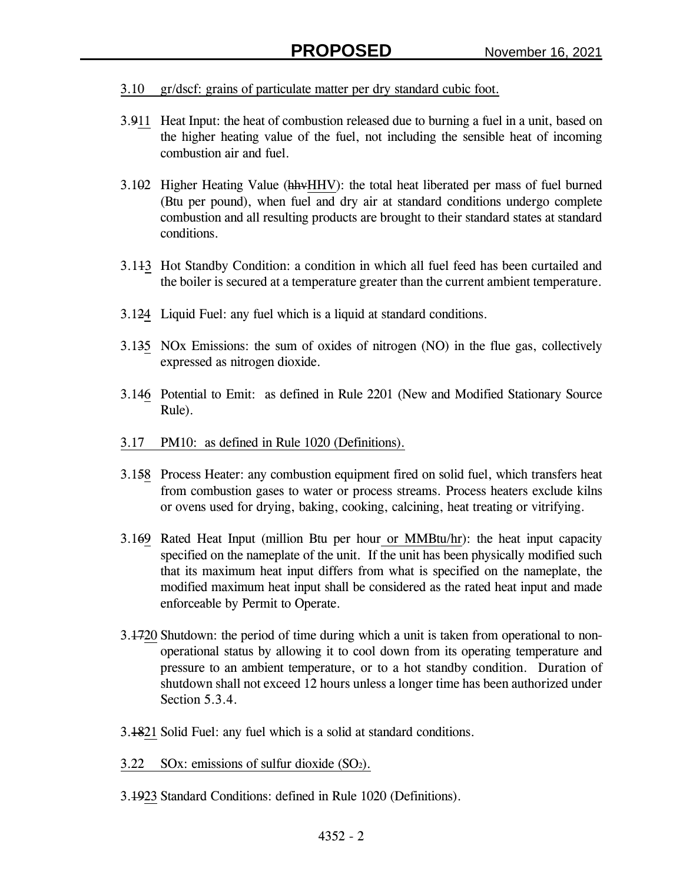- 3.10 gr/dscf: grains of particulate matter per dry standard cubic foot.
- 3.911 Heat Input: the heat of combustion released due to burning a fuel in a unit, based on the higher heating value of the fuel, not including the sensible heat of incoming combustion air and fuel.
- 3.102 Higher Heating Value (hhvHHV): the total heat liberated per mass of fuel burned (Btu per pound), when fuel and dry air at standard conditions undergo complete combustion and all resulting products are brought to their standard states at standard conditions.
- 3.113 Hot Standby Condition: a condition in which all fuel feed has been curtailed and the boiler is secured at a temperature greater than the current ambient temperature.
- 3.124 Liquid Fuel: any fuel which is a liquid at standard conditions.
- 3.135 NOx Emissions: the sum of oxides of nitrogen (NO) in the flue gas, collectively expressed as nitrogen dioxide.
- 3.146 Potential to Emit: as defined in Rule 2201 (New and Modified Stationary Source Rule).
- 3.17 PM10: as defined in Rule 1020 (Definitions).
- 3.158 Process Heater: any combustion equipment fired on solid fuel, which transfers heat from combustion gases to water or process streams. Process heaters exclude kilns or ovens used for drying, baking, cooking, calcining, heat treating or vitrifying.
- 3.169 Rated Heat Input (million Btu per hour or MMBtu/hr): the heat input capacity specified on the nameplate of the unit. If the unit has been physically modified such that its maximum heat input differs from what is specified on the nameplate, the modified maximum heat input shall be considered as the rated heat input and made enforceable by Permit to Operate.
- 3.1720 Shutdown: the period of time during which a unit is taken from operational to nonoperational status by allowing it to cool down from its operating temperature and pressure to an ambient temperature, or to a hot standby condition. Duration of shutdown shall not exceed 12 hours unless a longer time has been authorized under Section 5.3.4.
- 3.1821 Solid Fuel: any fuel which is a solid at standard conditions.
- 3.22 SOx: emissions of sulfur dioxide  $(SO<sub>2</sub>)$ .
- 3.1923 Standard Conditions: defined in Rule 1020 (Definitions).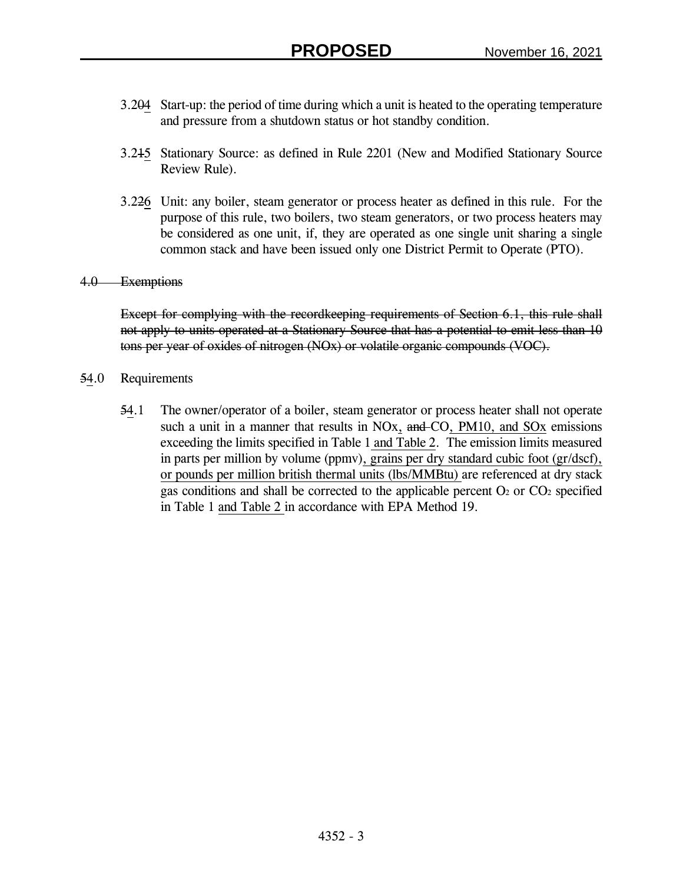- 3.204 Start-up: the period of time during which a unit is heated to the operating temperature and pressure from a shutdown status or hot standby condition.
- 3.215 Stationary Source: as defined in Rule 2201 (New and Modified Stationary Source Review Rule).
- 3.226 Unit: any boiler, steam generator or process heater as defined in this rule. For the purpose of this rule, two boilers, two steam generators, or two process heaters may be considered as one unit, if, they are operated as one single unit sharing a single common stack and have been issued only one District Permit to Operate (PTO).

#### 4.0 Exemptions

Except for complying with the recordkeeping requirements of Section 6.1, this rule shall not apply to units operated at a Stationary Source that has a potential to emit less than 10 tons per year of oxides of nitrogen (NOx) or volatile organic compounds (VOC).

- 54.0 Requirements
	- 54.1 The owner/operator of a boiler, steam generator or process heater shall not operate such a unit in a manner that results in NOx, and CO, PM10, and SOx emissions exceeding the limits specified in Table 1 and Table 2. The emission limits measured in parts per million by volume (ppmv), grains per dry standard cubic foot (gr/dscf), or pounds per million british thermal units (lbs/MMBtu) are referenced at dry stack gas conditions and shall be corrected to the applicable percent  $O_2$  or  $CO_2$  specified in Table 1 and Table 2 in accordance with EPA Method 19.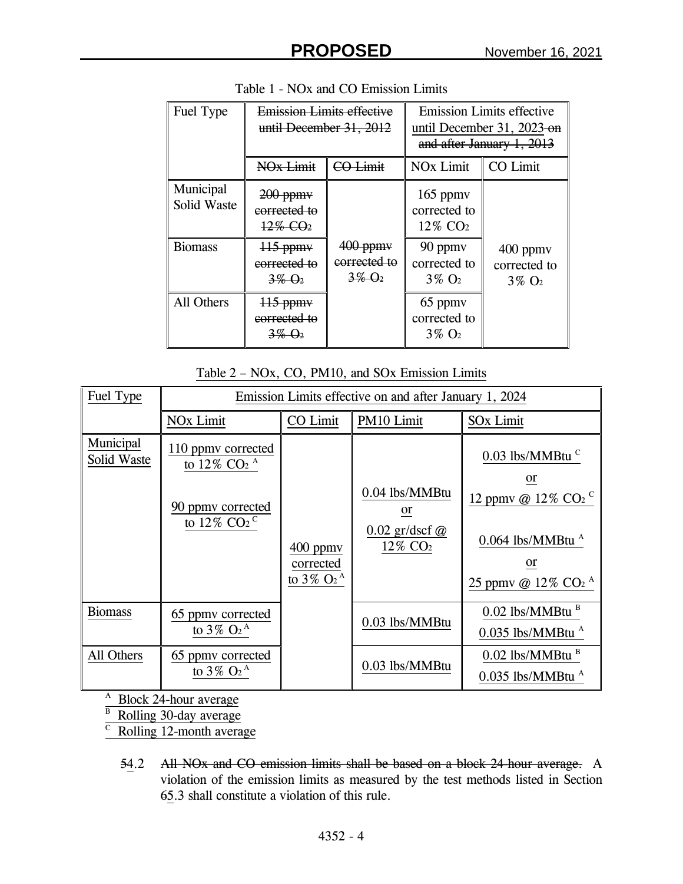| Fuel Type                | <b>Emission Limits effective</b><br>until December 31, 2012                      |                                                              | <b>Emission Limits effective</b><br>until December 31, 2023-on<br>and after January 1, 2013 |                                         |
|--------------------------|----------------------------------------------------------------------------------|--------------------------------------------------------------|---------------------------------------------------------------------------------------------|-----------------------------------------|
|                          | NO <sub>x</sub> Limit                                                            | <b>CO Limit</b>                                              | <b>NO<sub>x</sub></b> Limit                                                                 | CO Limit                                |
| Municipal<br>Solid Waste | $200$ ppm $\mathsf{v}$<br>corrected to<br>$12\%$ CO <sub>2</sub>                 |                                                              | $165$ ppm $v$<br>corrected to<br>12% CO <sub>2</sub>                                        |                                         |
| <b>Biomass</b>           | $115$ ppm $\vee$<br>corrected to<br>$3\%$ $\Theta_2$                             | $400$ ppm $v$<br>corrected to<br>$3\%$ $\Theta$ <sub>2</sub> | 90 ppmy<br>corrected to<br>$3\%$ O <sub>2</sub>                                             | 400 ppmv<br>corrected to<br>$3\%$ $O_2$ |
| All Others               | $\frac{115}{2}$ ppm $\frac{1}{2}$<br>corrected to<br>$3\%$ $\Theta$ <sub>2</sub> |                                                              | 65 ppmy<br>corrected to<br>$3\%$ O <sub>2</sub>                                             |                                         |

Table 2 – NOx, CO, PM10, and SOx Emission Limits

| Fuel Type                | Emission Limits effective on and after January 1, 2024                                                              |                                                                    |                                                                              |                                                                                                                                                                       |  |
|--------------------------|---------------------------------------------------------------------------------------------------------------------|--------------------------------------------------------------------|------------------------------------------------------------------------------|-----------------------------------------------------------------------------------------------------------------------------------------------------------------------|--|
|                          | <b>NO<sub>x</sub></b> Limit                                                                                         | CO Limit                                                           | PM10 Limit                                                                   | <b>SOx Limit</b>                                                                                                                                                      |  |
| Municipal<br>Solid Waste | 110 ppmy corrected<br>to 12% CO <sub>2</sub> $^{\rm A}$<br>90 ppmy corrected<br>to 12% CO <sub>2</sub> <sup>C</sup> | $400$ ppm $v$<br>corrected<br>to $3\%$ O <sub>2</sub> <sup>A</sup> | 0.04 lbs/MMBtu<br><sub>or</sub><br>$0.02$ gr/dscf $@$<br>12% CO <sub>2</sub> | $0.03$ lbs/MMBtu <sup>c</sup><br><sub>or</sub><br>12 ppmv @ 12% $CO2$ C<br>$0.064$ lbs/MMBtu $^{A}$<br><sub>or</sub><br>25 ppmy @ $12\%$ CO <sub>2</sub> <sup>A</sup> |  |
| <b>Biomass</b>           | 65 ppmy corrected<br>to $3\%$ O <sub>2</sub> <sup>A</sup>                                                           |                                                                    | 0.03 lbs/MMBtu                                                               | $0.02$ lbs/MMBtu $B$<br>$0.035$ lbs/MMBtu $^{\rm A}$                                                                                                                  |  |
| All Others               | 65 ppmy corrected<br>to $3\%$ O <sub>2</sub> <sup>A</sup>                                                           |                                                                    | 0.03 lbs/MMBtu                                                               | $0.02$ lbs/MMBtu $B$<br>$0.035$ lbs/MMBtu $^{\rm A}$                                                                                                                  |  |

<sup>A</sup> Block 24-hour average

<sup>B</sup> Rolling 30-day average

 $\overline{C}$ Rolling 12-month average

54.2 All NO<sub>x</sub> and CO emission limits shall be based on a block 24-hour average. A violation of the emission limits as measured by the test methods listed in Section 65.3 shall constitute a violation of this rule.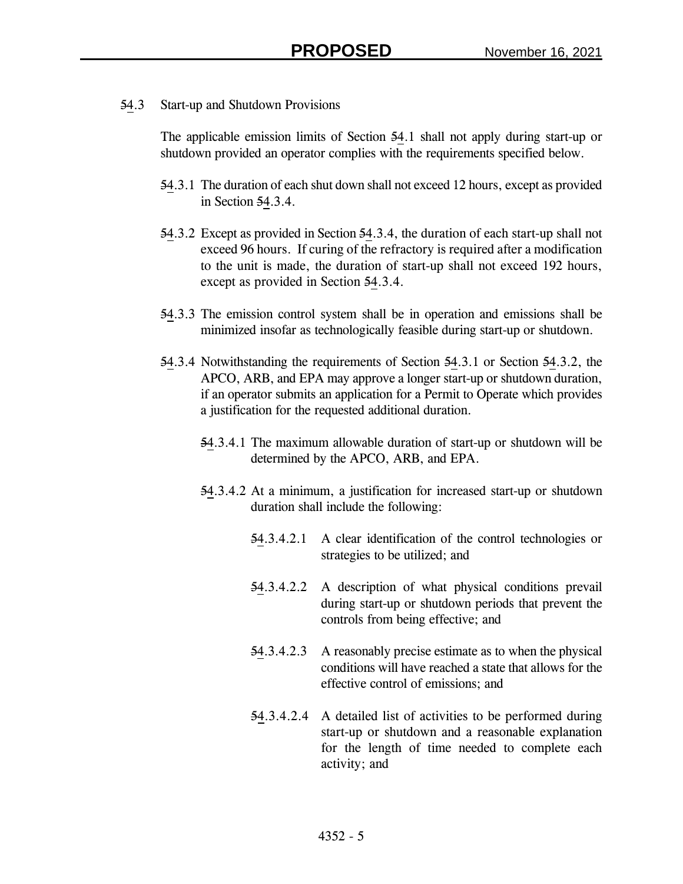54.3 Start-up and Shutdown Provisions

The applicable emission limits of Section 54.1 shall not apply during start-up or shutdown provided an operator complies with the requirements specified below.

- 54.3.1 The duration of each shut down shall not exceed 12 hours, except as provided in Section 54.3.4.
- 54.3.2 Except as provided in Section 54.3.4, the duration of each start-up shall not exceed 96 hours. If curing of the refractory is required after a modification to the unit is made, the duration of start-up shall not exceed 192 hours, except as provided in Section 54.3.4.
- 54.3.3 The emission control system shall be in operation and emissions shall be minimized insofar as technologically feasible during start-up or shutdown.
- 54.3.4 Notwithstanding the requirements of Section 54.3.1 or Section 54.3.2, the APCO, ARB, and EPA may approve a longer start-up or shutdown duration, if an operator submits an application for a Permit to Operate which provides a justification for the requested additional duration.
	- 54.3.4.1 The maximum allowable duration of start-up or shutdown will be determined by the APCO, ARB, and EPA.
	- 54.3.4.2 At a minimum, a justification for increased start-up or shutdown duration shall include the following:
		- 54.3.4.2.1 A clear identification of the control technologies or strategies to be utilized; and
		- 54.3.4.2.2 A description of what physical conditions prevail during start-up or shutdown periods that prevent the controls from being effective; and
		- 54.3.4.2.3 A reasonably precise estimate as to when the physical conditions will have reached a state that allows for the effective control of emissions; and
		- 54.3.4.2.4 A detailed list of activities to be performed during start-up or shutdown and a reasonable explanation for the length of time needed to complete each activity; and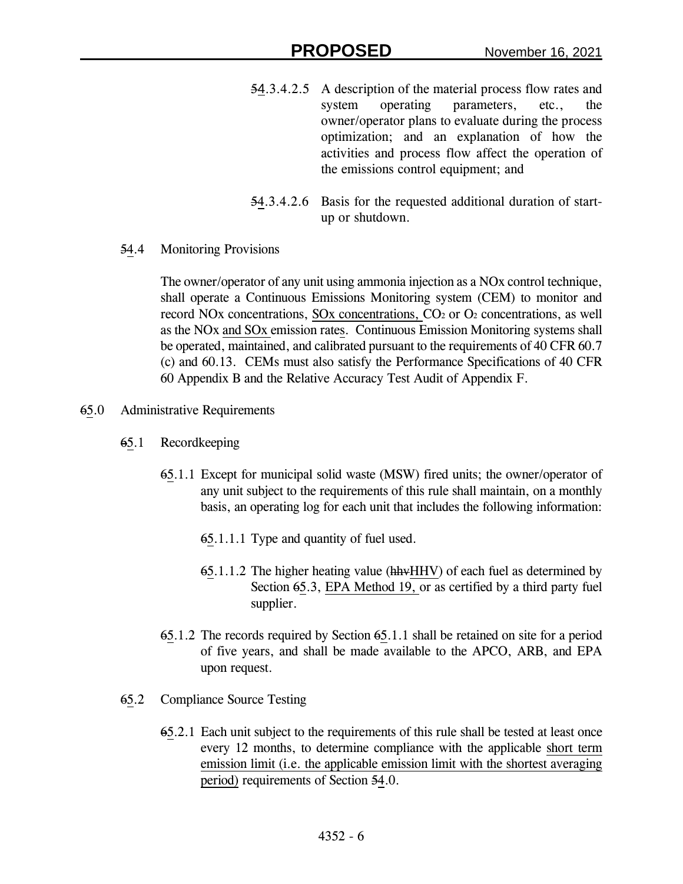- 54.3.4.2.5 A description of the material process flow rates and system operating parameters, etc., the owner/operator plans to evaluate during the process optimization; and an explanation of how the activities and process flow affect the operation of the emissions control equipment; and
- 54.3.4.2.6 Basis for the requested additional duration of startup or shutdown.
- 54.4 Monitoring Provisions

The owner/operator of any unit using ammonia injection as a NOx control technique, shall operate a Continuous Emissions Monitoring system (CEM) to monitor and record NOx concentrations, SOx concentrations, CO<sub>2</sub> or O<sub>2</sub> concentrations, as well as the NOx and SOx emission rates. Continuous Emission Monitoring systems shall be operated, maintained, and calibrated pursuant to the requirements of 40 CFR 60.7 (c) and 60.13. CEMs must also satisfy the Performance Specifications of 40 CFR 60 Appendix B and the Relative Accuracy Test Audit of Appendix F.

- 65.0 Administrative Requirements
	- 65.1 Recordkeeping
		- 65.1.1 Except for municipal solid waste (MSW) fired units; the owner/operator of any unit subject to the requirements of this rule shall maintain, on a monthly basis, an operating log for each unit that includes the following information:
			- 65.1.1.1 Type and quantity of fuel used.
			- 65.1.1.2 The higher heating value (hhvHHV) of each fuel as determined by Section 65.3, EPA Method 19, or as certified by a third party fuel supplier.
		- 65.1.2 The records required by Section 65.1.1 shall be retained on site for a period of five years, and shall be made available to the APCO, ARB, and EPA upon request.
	- 65.2 Compliance Source Testing
		- 65.2.1 Each unit subject to the requirements of this rule shall be tested at least once every 12 months, to determine compliance with the applicable short term emission limit (i.e. the applicable emission limit with the shortest averaging period) requirements of Section 54.0.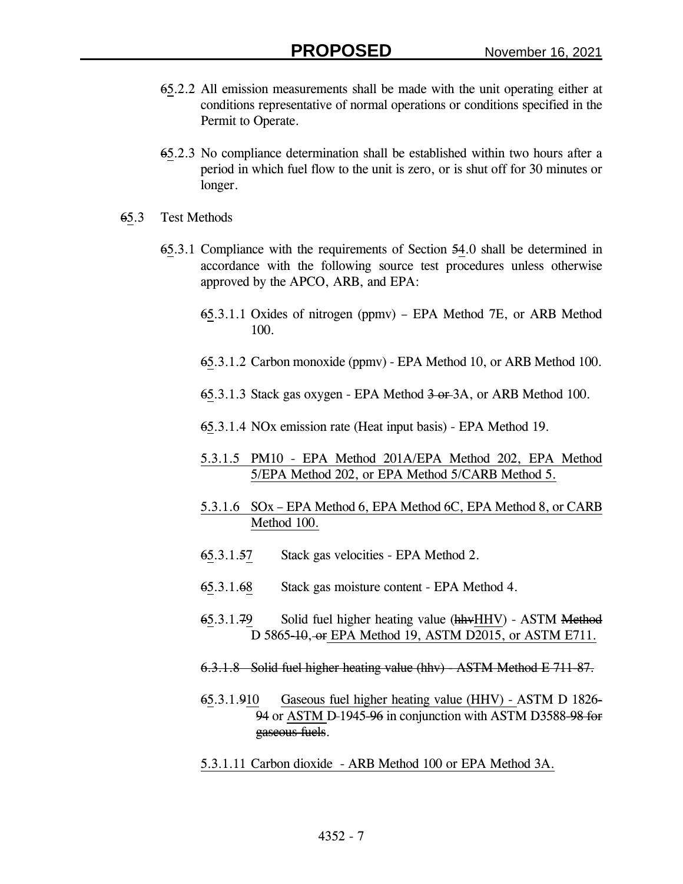- 65.2.2 All emission measurements shall be made with the unit operating either at conditions representative of normal operations or conditions specified in the Permit to Operate.
- 65.2.3 No compliance determination shall be established within two hours after a period in which fuel flow to the unit is zero, or is shut off for 30 minutes or longer.
- 65.3 Test Methods
	- 65.3.1 Compliance with the requirements of Section 54.0 shall be determined in accordance with the following source test procedures unless otherwise approved by the APCO, ARB, and EPA:
		- 65.3.1.1 Oxides of nitrogen (ppmv) EPA Method 7E, or ARB Method 100.
		- 65.3.1.2 Carbon monoxide (ppmv) EPA Method 10, or ARB Method 100.
		- 65.3.1.3 Stack gas oxygen EPA Method 3 or 3A, or ARB Method 100.
		- 65.3.1.4 NOx emission rate (Heat input basis) EPA Method 19.
		- 5.3.1.5 PM10 EPA Method 201A/EPA Method 202, EPA Method 5/EPA Method 202, or EPA Method 5/CARB Method 5.
		- 5.3.1.6 SOx EPA Method 6, EPA Method 6C, EPA Method 8, or CARB Method 100.
		- 65.3.1.57 Stack gas velocities EPA Method 2.
		- 65.3.1.68 Stack gas moisture content EPA Method 4.
		- 65.3.1.79 Solid fuel higher heating value (hhvHHV) ASTM Method D 5865-10, or EPA Method 19, ASTM D2015, or ASTM E711.
		- 6.3.1.8 Solid fuel higher heating value (hhv) ASTM Method E 711-87.
		- 65.3.1.910 Gaseous fuel higher heating value (HHV) ASTM D 1826- 94 or ASTM D-1945-96 in conjunction with ASTM D3588-98 for gaseous fuels.
		- 5.3.1.11 Carbon dioxide ARB Method 100 or EPA Method 3A.